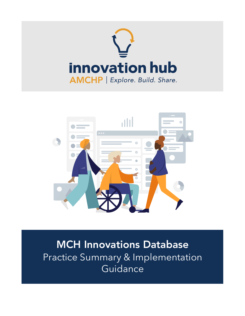



MCH Innovations Database Practice Summary & Implementation Guidance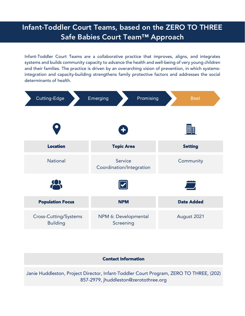# Infant-Toddler Court Teams, based on the ZERO TO THREE Safe Babies Court Team™ Approach

Infant-Toddler Court Teams are a collaborative practice that improves, aligns, and integrates systems and builds community capacity to advance the health and well-being of very young children and their families. The practice is driven by an overarching vision of prevention, in which systemsintegration and capacity-building strengthens family protective factors and addresses the social determinants of health.



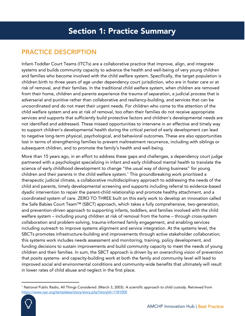# PRACTICE DESCRIPTION

Infant-Toddler Court Teams (ITCTs) are a collaborative practice that improve, align, and integrate systems and builds community capacity to advance the health and well-being of very young children and families who become involved with the child welfare system. Specifically, the target population is children birth to three years of age under dependency court jurisdiction, who are in foster care or at risk of removal, and their families. In the traditional child welfare system, when children are removed from their home, children and parents experience the trauma of separation, a judicial process that is adversarial and punitive rather than collaborative and resiliency-building, and services that can be uncoordinated and do not meet their urgent needs. For children who come to the attention of the child welfare system and are at risk of removal, too often their families do not receive appropriate services and supports that sufficiently build protective factors and children's developmental needs are not identified and addressed. These missed opportunities to intervene in an effective and timely way to support children's developmental health during the critical period of early development can lead to negative long-term physical, psychological, and behavioral outcomes. These are also opportunities lost in terms of strengthening families to prevent maltreatment recurrence, including with siblings or subsequent children, and to promote the family's health and well-being.

More than 15 years ago, in an effort to address these gaps and challenges, a dependency court judge partnered with a psychologist specializing in infant and early childhood mental health to translate the science of early childhood development to change "the usual way of doing business" for young children and their parents in the child welfare system.<sup>1</sup> This groundbreaking work prioritized a therapeutic judicial climate, a collaborative multidisciplinary approach to addressing the needs of the child and parents, timely developmental screening and supports including referral to evidence-based dyadic intervention to repair the parent-child relationship and promote healthy attachment, and a coordinated system of care. ZERO TO THREE built on this early work to develop an innovation called the Safe Babies Court Team™ (SBCT) approach, which takes a fully comprehensive, two-generation, and prevention-driven approach to supporting infants, toddlers, and families involved with the child welfare system – including young children at risk of removal from the home – through cross-system collaboration and problem-solving, trauma-informed family engagement, and enabling services including outreach to improve systems alignment and service integration. At the systems level, the SBCTs promotes infrastructure-building and improvements through active stakeholder collaboration; this systems work includes needs assessment and monitoring, training, policy development, and funding decisions to sustain improvements and build community capacity to meet the needs of young children and their families. In sum, the SBCT approach is driven by an overarching vision of prevention that posits systems- and capacity-building work at both the family and community level will lead to improved social and environmental conditions and community-wide benefits that ultimately will result in lower rates of child abuse and neglect in the first place.

<sup>1</sup> National Public Radio, All Things Considered. (March 3, 2003). *A scientific approach to child custody*. Retrieved from <https://www.npr.org/templates/story/story.php?storyId=1181000>

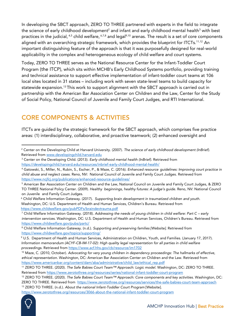In developing the SBCT approach, ZERO TO THREE partnered with experts in the field to integrate the science of early childhood development<sup>2</sup> and infant and early childhood mental health<sup>3</sup> with best practices in the judicial,  $4,5$  child welfare,  $6,7,8$  and legal<sup>9,10</sup> arenas. The result is a set of core components aligned with an overarching strategic framework, which provides the blueprint for ITCTs.<sup>11,12</sup> An important distinguishing feature of the approach is that it was purposefully designed for real-world applicability in the complex and heterogeneous ecology of child welfare and court systems.

Today, ZERO TO THREE serves as the National Resource Center for the Infant-Toddler Court Program (the ITCP), which sits within MCHB's Early Childhood Systems portfolio, providing training and technical assistance to support effective implementation of infant-toddler court teams at 106 local sites located in 31 states – including work with seven state-level teams to build capacity for statewide expansion.<sup>13</sup> This work to support alignment with the SBCT approach is carried out in partnership with the American Bar Association Center on Children and the Law, Center for the Study of Social Policy, National Council of Juvenile and Family Court Judges, and RTI International.

### CORE COMPONENTS & ACTIVITIES

ITCTs are guided by the strategic framework for the SBCT approach, which comprises five practice areas: (1) interdisciplinary, collaborative, and proactive teamwork; (2) enhanced oversight and

<https://www.zerotothree.org/resources/3066-about-the-national-infant-toddler-court-program>



<sup>2</sup> Center on the Developing Child at Harvard University. (2007). *The science of early childhood development (InBrief).* Retrieved from [www.developingchild.harvard.edu](http://www.developingchild.harvard.edu/)

<sup>3</sup> Center on the Developing Child. (2013). *Early childhood mental health (InBrief).* Retrieved from <https://developingchild.harvard.edu/resources/inbrief-early-childhood-mental-health/>

<sup>4</sup> Gatowski, S., Miller, N., Rubin, S., Escher, P., & Maze, C. (2016). *Enhanced resource guidelines: Improving court practice in child abuse and neglect cases.* Reno, NV: National Council of Juvenile and Family Court Judges. Retrieved from <https://www.ncjfcj.org/publications/enhanced-resource-guidelines/>

<sup>5</sup> American Bar Association Center on Children and the Law, National Council on Juvenile and Family Court Judges, & ZERO TO THREE National Policy Center. (2009). *Healthy beginnings, healthy futures: A judge's guide.* Reno, NV: National Council on Juvenile and Family Court Judges.

<sup>6</sup> Child Welfare Information Gateway. (2017). *Supporting brain development in traumatized children and youth.* Washington, DC: U.S. Department of Health and Human Services, Children's Bureau. Retrieved from <https://www.childwelfare.gov/pubPDFs/braindevtrauma.pdf>

<sup>7</sup> Child Welfare Information Gateway. (2018). *Addressing the needs of young children in child welfare: Part C – early intervention services.* Washington, DC: U.S. Department of Health and Human Services, Children's Bureau. Retrieved from <https://www.childwelfare.gov/pubs/partc/>

<sup>8</sup> Child Welfare Information Gateway. (n.d.). *Supporting and preserving families [Website].* Retrieved from <https://www.childwelfare.gov/topics/supporting/>

<sup>9</sup> U.S. Department of Health and Human Services, Administration on Children, Youth, and Families. (January 17, 2017). *Information memorandum (ACYF-CB-IM-17-02): High quality legal representation for all parties in child welfare proceedings.* Retrieved fro[m https://www.acf.hhs.gov/cb/resource/im1702](https://www.acf.hhs.gov/cb/resource/im1702)

<sup>10</sup> Maze, C. (2010, October). *Advocating for very young children in dependency proceedings: The hallmarks of effective, ethical representation.* Washington, DC: American Bar Association Center on Children and the Law. Retrieved from [https://www.americanbar.org/content/dam/aba/administrative/child\\_law/ethical\\_rep.pdf](https://www.americanbar.org/content/dam/aba/administrative/child_law/ethical_rep.pdf)

<sup>11</sup> ZERO TO THREE. (2020). *The Safe Babies Court Team™ Approach: Logic model.* Washington, DC: ZERO TO THREE. Retrieved from<https://www.zerotothree.org/resources/series/national-infant-toddler-court-program>

<sup>12</sup> ZERO TO THREE. (2020). *The Safe Babies Court Team™ Approach: Core components and key activities.* Washington, DC: ZERO TO THREE. Retrieved from <https://www.zerotothree.org/resources/services/the-safe-babies-court-team-approach>

<sup>13</sup> ZERO TO THREE. (n.d.). *About the national Infant-Toddler Court Program* [Website].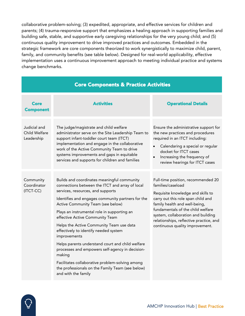collaborative problem-solving; (3) expedited, appropriate, and effective services for children and parents; (4) trauma-responsive support that emphasizes a healing approach in supporting families and building safe, stable, and supportive early caregiving relationships for the very young child; and (5) continuous quality improvement to drive improved practices and outcomes. Embedded in the strategic framework are core components theorized to work synergistically to maximize child, parent, family, and community benefits (see table below). Designed for real-world applicability, effective implementation uses a continuous improvement approach to meeting individual practice and systems change benchmarks.

| <b>Core Components &amp; Practice Activities</b> |                                                                                                                                                                                                                                                                                                                                                                                                                                                                                                                                                                                                                                                                     |                                                                                                                                                                                                                                                                                                                              |  |  |
|--------------------------------------------------|---------------------------------------------------------------------------------------------------------------------------------------------------------------------------------------------------------------------------------------------------------------------------------------------------------------------------------------------------------------------------------------------------------------------------------------------------------------------------------------------------------------------------------------------------------------------------------------------------------------------------------------------------------------------|------------------------------------------------------------------------------------------------------------------------------------------------------------------------------------------------------------------------------------------------------------------------------------------------------------------------------|--|--|
| Core<br><b>Component</b>                         | <b>Activities</b>                                                                                                                                                                                                                                                                                                                                                                                                                                                                                                                                                                                                                                                   | <b>Operational Details</b>                                                                                                                                                                                                                                                                                                   |  |  |
| Judicial and<br>Child Welfare<br>Leadership      | The judge/magistrate and child welfare<br>administrator serve on the Site Leadership Team to<br>support infant-toddler court team (ITCT)<br>implementation and engage in the collaborative<br>work of the Active Community Team to drive<br>systems improvements and gaps in equitable<br>services and supports for children and families                                                                                                                                                                                                                                                                                                                           | Ensure the administrative support for<br>the new practices and procedures<br>required in an ITCT including:<br>Calendaring a special or regular<br>$\bullet$<br>docket for ITCT cases<br>Increasing the frequency of<br>review hearings for ITCT cases                                                                       |  |  |
| Community<br>Coordinator<br>(ITCT-CC)            | Builds and coordinates meaningful community<br>connections between the ITCT and array of local<br>services, resources, and supports<br>Identifies and engages community partners for the<br>Active Community Team (see below)<br>Plays an instrumental role in supporting an<br>effective Active Community Team<br>Helps the Active Community Team use data<br>effectively to identify needed system<br>improvements<br>Helps parents understand court and child welfare<br>processes and empowers self-agency in decision-<br>making<br>Facilitates collaborative problem-solving among<br>the professionals on the Family Team (see below)<br>and with the family | Full-time position, recommended 20<br>families/caseload<br>Requisite knowledge and skills to<br>carry out this role span child and<br>family health and well-being,<br>fundamentals of the child welfare<br>system, collaboration and building<br>relationships, reflective practice, and<br>continuous quality improvement. |  |  |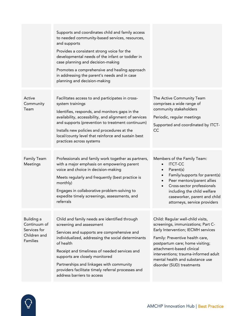|                                                                               | Supports and coordinates child and family access<br>to needed community-based services, resources,<br>and supports<br>Provides a consistent strong voice for the<br>developmental needs of the infant or toddler in<br>case planning and decision-making<br>Promotes a comprehensive and healing approach<br>in addressing the parent's needs and in case<br>planning and decision-making                      |                                                                                                                                                                                                                                                                                                                          |
|-------------------------------------------------------------------------------|----------------------------------------------------------------------------------------------------------------------------------------------------------------------------------------------------------------------------------------------------------------------------------------------------------------------------------------------------------------------------------------------------------------|--------------------------------------------------------------------------------------------------------------------------------------------------------------------------------------------------------------------------------------------------------------------------------------------------------------------------|
| Active<br>Community<br>Team                                                   | Facilitates access to and participates in cross-<br>system trainings<br>Identifies, responds, and monitors gaps in the<br>availability, accessibility, and alignment of services<br>and supports (prevention to treatment continuum)<br>Installs new policies and procedures at the<br>local/county level that reinforce and sustain best<br>practices across systems                                          | The Active Community Team<br>comprises a wide range of<br>community stakeholders<br>Periodic, regular meetings<br>Supported and coordinated by ITCT-<br>CC                                                                                                                                                               |
| Family Team<br>Meetings                                                       | Professionals and family work together as partners,<br>with a major emphasis on empowering parent<br>voice and choice in decision-making<br>Meets regularly and frequently (best practice is<br>monthly)<br>Engages in collaborative problem-solving to<br>expedite timely screenings, assessments, and<br>referrals                                                                                           | Members of the Family Team:<br><b>ITCT-CC</b><br>$\bullet$<br>Parent(s)<br>$\bullet$<br>Family/supports for parent(s)<br>Peer mentors/parent allies<br>$\bullet$<br>Cross-sector professionals<br>$\bullet$<br>including the child welfare<br>caseworker, parent and child<br>attorneys, service providers               |
| Building a<br>Continuum of<br>Services for<br>Children and<br><b>Families</b> | Child and family needs are identified through<br>screening and assessment<br>Services and supports are comprehensive and<br>individualized, addressing the social determinants<br>of health<br>Receipt and timeliness of needed services and<br>supports are closely monitored<br>Partnerships and linkages with community<br>providers facilitate timely referral processes and<br>address barriers to access | Child: Regular well-child visits,<br>screenings, immunizations; Part C-<br>Early Intervention; IECMH services<br>Family: Preventive health care,<br>postpartum care; home visiting;<br>attachment-based clinical<br>interventions; trauma-informed adult<br>mental health and substance use<br>disorder (SUD) treatments |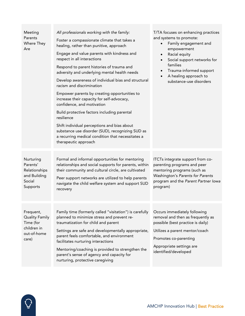| Meeting<br>Parents<br>Where They<br>Are                                                | All professionals working with the family:<br>Foster a compassionate climate that takes a<br>healing, rather than punitive, approach<br>Engage and value parents with kindness and<br>respect in all interactions<br>Respond to parent histories of trauma and<br>adversity and underlying mental health needs<br>Develop awareness of individual bias and structural<br>racism and discrimination<br>Empower parents by creating opportunities to<br>increase their capacity for self-advocacy,<br>confidence, and motivation<br>Build protective factors including parental<br>resilience<br>Shift individual perceptions and bias about<br>substance use disorder (SUD), recognizing SUD as<br>a recurring medical condition that necessitates a<br>therapeutic approach | T/TA focuses on enhancing practices<br>and systems to promote:<br>Family engagement and<br>$\bullet$<br>empowerment<br>Racial equity<br>$\bullet$<br>Social support networks for<br>families<br>Trauma-informed support<br>A healing approach to<br>substance-use disorders |
|----------------------------------------------------------------------------------------|-----------------------------------------------------------------------------------------------------------------------------------------------------------------------------------------------------------------------------------------------------------------------------------------------------------------------------------------------------------------------------------------------------------------------------------------------------------------------------------------------------------------------------------------------------------------------------------------------------------------------------------------------------------------------------------------------------------------------------------------------------------------------------|-----------------------------------------------------------------------------------------------------------------------------------------------------------------------------------------------------------------------------------------------------------------------------|
| Nurturing<br>Parents'<br>Relationships<br>and Building<br>Social<br>Supports           | Formal and informal opportunities for mentoring<br>relationships and social supports for parents, within<br>their community and cultural circle, are cultivated<br>Peer support networks are utilized to help parents<br>navigate the child welfare system and support SUD<br>recovery                                                                                                                                                                                                                                                                                                                                                                                                                                                                                      | ITCTs integrate support from co-<br>parenting programs and peer<br>mentoring programs (such as<br>Washington's Parents for Parents<br>program and the Parent Partner Iowa<br>program)                                                                                       |
| Frequent,<br><b>Quality Family</b><br>Time (for<br>children in<br>out-of-home<br>care) | Family time (formerly called "visitation") is carefully<br>planned to minimize stress and prevent re-<br>traumatization for child and parent<br>Settings are safe and developmentally appropriate,<br>parent feels comfortable, and environment<br>facilitates nurturing interactions<br>Mentoring/coaching is provided to strengthen the<br>parent's sense of agency and capacity for<br>nurturing, protective caregiving                                                                                                                                                                                                                                                                                                                                                  | Occurs immediately following<br>removal and then as frequently as<br>possible (best practice is daily)<br>Utilizes a parent mentor/coach<br>Promotes co-parenting<br>Appropriate settings are<br>identified/developed                                                       |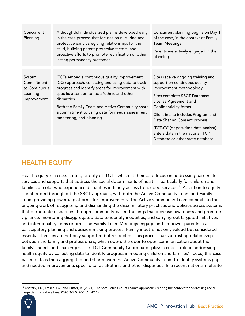| Concurrent<br>Planning                                           | A thoughtful individualized plan is developed early<br>in the case process that focuses on nurturing and<br>protective early caregiving relationships for the<br>child, building parent protective factors, and<br>proactive efforts to promote reunification or other<br>lasting permanency outcomes                                                     | Concurrent planning begins on Day 1<br>of the case, in the context of Family<br><b>Team Meetings</b><br>Parents are actively engaged in the<br>planning                                                                                                                                                                                                               |
|------------------------------------------------------------------|-----------------------------------------------------------------------------------------------------------------------------------------------------------------------------------------------------------------------------------------------------------------------------------------------------------------------------------------------------------|-----------------------------------------------------------------------------------------------------------------------------------------------------------------------------------------------------------------------------------------------------------------------------------------------------------------------------------------------------------------------|
| System<br>Commitment<br>to Continuous<br>Learning<br>Improvement | ITCTs embed a continuous quality improvement<br>(CQI) approach, collecting and using data to track<br>progress and identify areas for improvement with<br>specific attention to racial/ethnic and other<br>disparities<br>Both the Family Team and Active Community share<br>a commitment to using data for needs assessment,<br>monitoring, and planning | Sites receive ongoing training and<br>support on continuous quality<br>improvement methodology<br>Sites complete SBCT Database<br>License Agreement and<br>Confidentiality forms<br>Client intake includes Program and<br>Data Sharing Consent process<br>ITCT-CC (or part-time data analyst)<br>enters data in the national ITCP<br>Database or other state database |

### HEALTH EQUITY

Health equity is a cross-cutting priority of ITCTs, which at their core focus on addressing barriers to services and supports that address the social determinants of health – particularly for children and families of color who experience disparities in timely access to needed services.<sup>14</sup> Attention to equity is embedded throughout the SBCT approach, with both the Active Community Team and Family Team providing powerful platforms for improvements. The Active Community Team commits to the ongoing work of recognizing and dismantling the discriminatory practices and policies across systems that perpetuate disparities through community-based trainings that increase awareness and promote vigilance, monitoring disaggregated data to identify inequities, and carrying out targeted initiatives and intentional systems reform. The Family Team Meetings engage and empower parents in a participatory planning and decision-making process. Family input is not only valued but considered essential; families are not only supported but respected. This process fuels a trusting relationship between the family and professionals, which opens the door to open communication about the family's needs and challenges. The ITCT Community Coordinator plays a critical role in addressing health equity by collecting data to identify progress in meeting children and families' needs; this casebased data is then aggregated and shared with the Active Community Team to identify systems gaps and needed improvements specific to racial/ethnic and other disparities. In a recent national multisite

<sup>14</sup> Osofsky, J.D., Fraser, J.G., and Huffer, A. (2021). The Safe Babies Court Team™ approach: Creating the context for addressing racial inequities in child welfare*. ZERO TO THREE, Vol 42*(1).

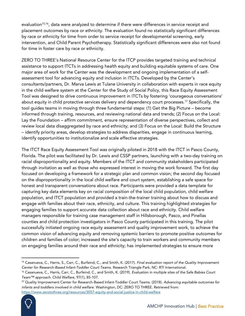evaluation<sup>15,16</sup>, data were analyzed to determine if there were differences in service receipt and placement outcomes by race or ethnicity. The evaluation found no statistically significant differences by race or ethnicity for time from order to service receipt for developmental screening, early intervention, and Child Parent Psychotherapy. Statistically significant differences were also not found for time in foster care by race or ethnicity.

ZERO TO THREE's National Resource Center for the ITCP provides targeted training and technical assistance to support ITCTs in addressing health equity and building equitable systems of care. One major area of work for the Center was the development and ongoing implementation of a selfassessment tool for advancing equity and inclusion in ITCTs. Developed by the Center's consultants/partners, Dr. Marva Lewis at Tulane University in collaboration with experts in race equity in the child welfare system at the Center for the Study of Social Policy, this Race Equity Assessment Tool was designed to drive continuous improvement in ITCTs by fostering 'courageous conversations' about equity in child protective services delivery and dependency court processes.<sup>17</sup> Specifically, the tool guides teams in moving through three fundamental steps: (1) Get the Big Picture – become informed through training, resources, and reviewing national data and trends; (2) Focus on the Local: Lay the Foundation – affirm commitment, ensure representation of diverse perspectives, collect and review local data disaggregated by race and ethnicity; and (3) Focus on the Local: Build the Structure – identify priority areas, develop strategies to address disparities, engage in continuous learning, identify opportunities to institutionalize and scale effective strategies.

The ITCT Race Equity Assessment Tool was originally piloted in 2018 with the ITCT in Pasco County, Florida. The pilot was facilitated by Dr. Lewis and CSSP partners, launching with a two-day training on racial disproportionality and equity. Members of the ITCT and community stakeholders participated through invitation as well as those who expressed interest in moving the work forward. The first day focused on developing a framework for a strategic plan and common vision; the second day focused on the disproportionality in the local child welfare and court system, establishing a safe space for honest and transparent conversations about race. Participants were provided a data template for capturing key data elements key on racial composition of the local child population, child welfare population, and ITCT population and provided a train-the-trainer training about how to discuss and engage with families about their race, ethnicity, and culture. This training highlighted strategies for engaging families to support accurate data collection about race and ethnicity. Child welfare managers responsible for training case management staff in Hillsborough, Pasco, and Pinellas counties and child protection investigators in Pasco County participated in this training. The pilot successfully initiated ongoing race equity assessment and quality improvement work, to achieve the common vision of advancing equity and removing systemic barriers to promote positive outcomes for children and families of color; increased the site's capacity to train workers and community members on engaging families around their race and ethnicity; has implemented strategies to ensure more

<sup>17</sup> Quality Improvement Center for Research-Based Infant-Toddler Court Teams. (2018). *Advancing equitable outcomes for infants and toddlers involved in child welfare.* Washington, DC: ZERO TO THREE. Retrieved from: <https://www.zerotothree.org/resources/3057-equity-and-social-justice-in-child-welfare>



<sup>15</sup> Casanueva, C., Harris, S., Carr, C., Burfeind, C., and Smith, K. (2017). *Final evaluation report of the Quality Improvement Center for Research-Based Infant-Toddler Court Teams.* Research Triangle Park, NC: RTI International.

<sup>16</sup> Casanueva, C., Harris, Carr, C., Burfeind, C., and Smith, K. (2019). *Evaluation in multiple sites of the Safe Babies Court Team™ approach.* Child Welfare, 97(1), 85-107.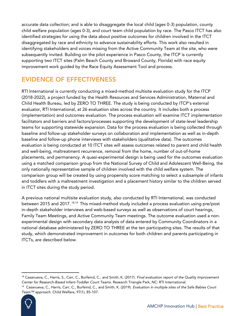accurate data collection; and is able to disaggregate the local child (ages 0-3) population, county child welfare population (ages 0-3), and court team child population by race. The Pasco ITCT has also identified strategies for using the data about positive outcomes for children involved in the ITCT disaggregated by race and ethnicity to advance sustainability efforts. This work also resulted in identifying stakeholders and voices missing from the Active Community Team at the site, who were subsequently invited. Building on the pilot experience in Pasco County, the ITCP is currently supporting two ITCT sites (Palm Beach County and Broward County, Florida) with race equity improvement work guided by the Race Equity Assessment Tool and process.

# EVIDENCE OF EFFECTIVENESS

RTI International is currently conducting a mixed-method multisite evaluation study for the ITCP (2018-2022), a project funded by the Health Resources and Services Administration, Maternal and Child Health Bureau, led by ZERO TO THREE. The study is being conducted by ITCP's external evaluator, RTI International, at 26 evaluation sites across the country. It includes both a process (implementation) and outcomes evaluation. The process evaluation will examine ITCT implementation facilitators and barriers and factors/processes supporting the development of state-level leadership teams for supporting statewide expansion. Data for the process evaluation is being collected through baseline and follow-up stakeholder surveys on collaboration and implementation as well as in-depth baseline and follow-up phone interviews with stakeholders (qualitative data). The outcomes evaluation is being conducted at 10 ITCT sites will assess outcomes related to parent and child health and well-being, maltreatment recurrence, removal from the home, number of out-of-home placements, and permanency. A quasi-experimental design is being used for the outcomes evaluation using a matched comparison group from the National Survey of Child and Adolescent Well-Being, the only nationally representative sample of children involved with the child welfare system. The comparison group will be created by using propensity score matching to select a subsample of infants and toddlers with a maltreatment investigation and a placement history similar to the children served in ITCT sites during the study period.

A previous national multisite evaluation study, also conducted by RTI International, was conducted between 2015 and 2017.  $^{\rm 18,19}$  This mixed-method study included a process evaluation using pre/post in-depth stakeholder interviews and web-based surveys as well as observations of court hearings, Family Team Meetings, and Active Community Team meetings. The outcome evaluation used a nonexperimental design with secondary data analysis of data entered by Community Coordinators in a national database administered by ZERO TO THREE at the ten participating sites. The results of that study, which demonstrated improvement in outcomes for both children and parents participating in ITCTs, are described below.

<sup>19</sup> Casanueva, C., Harris, Carr, C., Burfeind, C., and Smith, K. (2019). *Evaluation in multiple sites of the Safe Babies Court Team™ approach.* Child Welfare, 97(1), 85-107.



<sup>18</sup> Casanueva, C., Harris, S., Carr, C., Burfeind, C., and Smith, K. (2017). *Final evaluation report of the Quality Improvement Center for Research-Based Infant-Toddler Court Teams.* Research Triangle Park, NC: RTI International.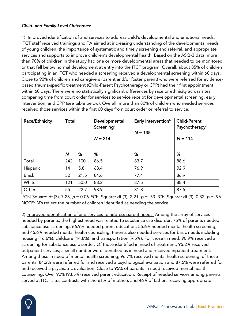### *Child- and Family-Level Outcomes:*

1) Improved identification of and services to address child's developmental and emotional needs: ITCT staff received trainings and TA aimed at increasing understanding of the developmental needs of young children, the importance of systematic and timely screening and referral, and appropriate services and supports to improve children's developmental health. Based on the ASQ-3 data, more than 70% of children in the study had one or more developmental areas that needed to be monitored or that fell below normal development at entry into the ITCT program. Overall, about 85% of children participating in an ITCT who needed a screening received a developmental screening within 60 days. Close to 90% of children and caregivers (parent and/or foster parent) who were referred for evidencebased trauma-specific treatment (Child-Parent Psychotherapy or CPP) had their first appointment within 60 days. There were no statistically significant differences by race or ethnicity across sites comparing time from court order for services to service receipt for developmental screening, early intervention, and CPP (see table below). Overall, more than 80% of children who needed services received those services within the first 60 days from court order or referral to service.

| Race/Ethnicity | Total |      | Developmental<br>Screening <sup>a</sup><br>$N = 214$ | Early Intervention <sup>b</sup><br>$N = 135$ | <b>Child-Parent</b><br>Psychotherapy <sup>c</sup><br>$N = 114$ |
|----------------|-------|------|------------------------------------------------------|----------------------------------------------|----------------------------------------------------------------|
|                | N     | %    | %                                                    | %                                            | %                                                              |
| Total          | 242   | 100  | 86.5                                                 | 83.7                                         | 88.6                                                           |
| Hispanic       | 14    | 5.8  | 68.4                                                 | 76.9                                         | 92.9                                                           |
| <b>Black</b>   | 52    | 21.5 | 84.6                                                 | 77.4                                         | 86.9                                                           |
| White          | 121   | 50.0 | 88.2                                                 | 87.5                                         | 88.4                                                           |
| Other          | 55    | 22.7 | 93.9                                                 | 81.8                                         | 87.5                                                           |

<sup>a</sup>Chi-Square: df (3), 7.28, *p* = 0.06. <sup>b</sup>Chi-Square: df (3), 2.21, *p* = .53. *Chi-Square: df (3), 0.32, p* = .96. NOTE*: N*'s reflect the number of children identified as needing the service.

2) Improved identification of and services to address parent needs: Among the array of services needed by parents, the highest need was related to substance use disorder: 75% of parents needed substance use screening, 66.9% needed parent education, 55.6% needed mental health screening, and 45.6% needed mental health counseling. Parents also needed services for basic needs including housing (16.6%), childcare (14.8%), and transportation (9.5%). For those in need, 90.9% received a screening for substance use disorder. Of those identified in need of treatment, 95.2% received outpatient services; a small number were identified as in need and received inpatient treatment. Among those in need of mental health screening, 96.7% received mental health screening; of those parents, 84.2% were referred for and received a psychological evaluation and 87.5% were referred for and received a psychiatric evaluation. Close to 95% of parents in need received mental health counseling. Over 90% (93.5%) received parent education. Receipt of needed services among parents served at ITCT sites contrasts with the 61% of mothers and 46% of fathers receiving appropriate

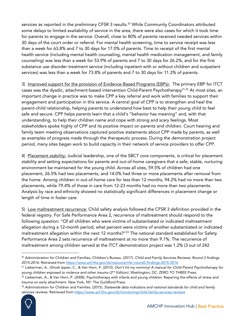services as reported in the preliminary CFSR 3 results.<sup>20</sup> While Community Coordinators attributed some delays to limited availability of service in the area, there were also cases for which it took time for parents to engage in the service. Overall, close to 80% of parents received needed services within 30 days of the court order or referral. For mental health screening, time to service receipt was less than a week for 63.8% and 7 to 30 days for 17.0% of parents. Time to receipt of the first mental health service (including mental health counseling, mental health medication management, and family counseling) was less than a week for 53.9% of parents and 7 to 30 days for 26.2%, and for the first substance use disorder treatment service (including inpatient with or without children and outpatient services) was less than a week for 73.8% of parents and 7 to 30 days for 11.3% of parents.

3) Improved support for the provision of Evidence-Based Programs (EBPs): The primary EBP for ITCT cases was the dyadic, attachment-based intervention Child-Parent Psychotherapy<sup>21,22</sup> At most sites, an important change in practice was to make CPP a key referral and work with families to support their engagement and participation in this service. A central goal of CPP is to strengthen and heal the parent-child relationship, helping parents to understand how best to help their young child to feel safe and secure. CPP helps parents learn that a child's "behavior has meaning" and, with that understanding, to help their children name and cope with strong and scary feelings. Most stakeholders spoke highly of CPP and its positive impact on parents and children. Court hearing and family team meeting observations captured positive statements about CPP made by parents, as well as examples of progress made through the therapeutic process. During the demonstration project period, many sites began work to build capacity in their network of service providers to offer CPP.

4) Placement stability: Judicial leadership, one of the SBCT core components, is critical for placement stability and setting expectations for parents and out-of-home caregivers that a safe, stable, nurturing environment be maintained for the young child. Across all sites, 59.5% of children had one placement, 26.5% had two placements, and 14.0% had three or more placements after removal from the home. Among children in out-of-home care for less than 12 months, 94.2% had no more than two placements, while 79.4% of those in care from 12-23 months had no more than two placements. Analysis by race and ethnicity showed no statistically significant differences in placement change or length of time in foster care.

5) Low maltreatment recurrence: Child safety analysis followed the CFSR 3 definition provided in the federal registry. For Safe Performance Area 2, recurrence of maltreatment should respond to the following question: "Of all children who were victims of substantiated or indicated maltreatment allegation during a 12-month period, what percent were victims of another substantiated or indicated maltreatment allegation within the next 12 months?"<sup>23</sup> The national standard established for Safety Performance Area 2 sets recurrence of maltreatment at no more than 9.1%. The recurrence of maltreatment among children served at the ITCT demonstration project was 1.2% (3 out of 242

<sup>23</sup> Administration for Children and Families. (2015). *Statewide data indicators and national standards for child and family services reviews.* Retrieved from<https://www.acf.hhs.gov/cb/monitoring/child-family-services-reviews>



<sup>20</sup> Administration for Children and Families, Children's Bureau. (2017). *Child and Family Services Reviews: Round 3 findings 2015-2016.* Retrieved from<https://www.acf.hhs.gov/cb/resource/cfsr-round3-findings-2015-2016>

<sup>21</sup> Lieberman, A., Ghosh Ippen, C., & Van Horn, P. (2015). *Don't hit my mommy! A manual for Child-Parent Psychotherapy for young children exposed to violence and other trauma (2nd Edition).* Washington, DC: ZERO TO THREE Press.

<sup>&</sup>lt;sup>22</sup> Lieberman, A., & Van Horn, P. (2008). Psychotherapy with infants and young children: Repairing the effects of stress and trauma on early attachment. New York, NY: The Guildford Press.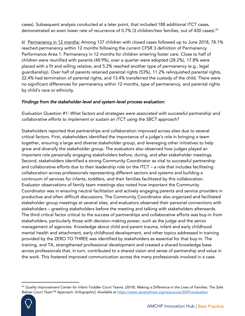cases). Subsequent analysis conducted at a later point, that included 188 additional ITCT cases, demonstrated an even lower rate of recurrence of 0.7% (3 children/two families, out of 430 cases).<sup>24</sup>

6) Permanency in 12 months: Among 137 children with closed cases followed up to June 2018, 78.1% reached permanency within 12 months following the current CFSR 3 definition of Permanency Performance Area 1: Permanency in 12 months for children entering foster care. Close to half of children were reunified with parents (48.9%), over a quarter were adopted (28.2%), 17.8% were placed with a fit and willing relative, and 5.2% reached another type of permanency (e.g., legal guardianship). Over half of parents retained parental rights (53%), 11.2% relinquished parental rights, 22.4% had termination of parental rights, and 13.4% transferred the custody of the child. There were no significant differences for permanency within 12 months, type of permanency, and parental rights by child's race or ethnicity.

### *Findings from the stakeholder-level and system-level process evaluation:*

*Evaluation Question #1: What factors and strategies were associated with successful partnership and collaborative efforts to implement or sustain an ITCT using the SBCT approach?*

Stakeholders reported that partnerships and collaboration improved across sites due to several critical factors. First, stakeholders identified the importance of a judge's role in bringing a team together, ensuring a large and diverse stakeholder group, and leveraging other initiatives to help grow and diversify the stakeholder group. The evaluators also observed how judges played an important role personally engaging stakeholders before, during, and after stakeholder meetings. Second, stakeholders identified a strong Community Coordinator as vital to successful partnership and collaborative efforts due to their leadership role on the ITCT – a role that includes facilitating collaboration across professionals representing different sectors and systems and building a continuum of services for infants, toddlers, and their families facilitated by this collaboration. Evaluator observations of family team meetings also noted how important the Community Coordinator was in ensuring neutral facilitation and actively engaging parents and service providers in productive and often difficult discussions. The Community Coordinator also organized and facilitated stakeholder group meetings at several sites, and evaluators observed their personal connections with stakeholders – greeting stakeholders before the meeting and talking with stakeholders afterwards. The third critical factor critical to the success of partnerships and collaborative efforts was buy-in from stakeholders, particularly those with decision-making power, such as the judge and the senior management of agencies. Knowledge about child and parent trauma, infant and early childhood mental health and attachment, early childhood development, and other topics addressed in training provided by the ZERO TO THREE was identified by stakeholders as essential for that buy-in. The training, and TA, strengthened professional development and created a shared knowledge base across professionals that, in turn, contributed to a shared vision and sense of partnership and value in the work. This fostered improved communication across the many professionals involved in a case.

<sup>24</sup> *Quality Improvement Center for Infant-Toddler Court Teams. (2018). Making a Difference in the Lives of Families: The Safe Babies Court Team™ Approach. [Infographic]. Available at <https://www.zerotothree.org/resources/3059-evaluation>* 

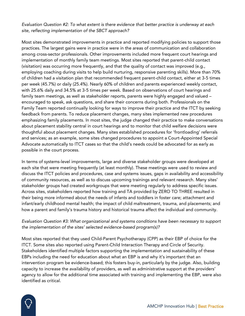*Evaluation Question #2: To what extent is there evidence that better practice is underway at each site, reflecting implementation of the SBCT approach?*

Most sites demonstrated improvements in practice and reported modifying policies to support those practices. The largest gains were in practice were in the areas of communication and collaboration among cross-sector professionals. Other improvements included more frequent court hearings and implementation of monthly family team meetings. Most sites reported that parent-child contact (visitation) was occurring more frequently, and that the quality of contact was improved (e.g., employing coaching during visits to help build nurturing, responsive parenting skills). More than 70% of children had a visitation plan that recommended frequent parent-child contact, either at 3-5 times per week (45.7%) or daily (25.4%). Nearly 60% of children and parents experienced weekly contact, with 25.6% daily and 34.5% at 3-5 times per week. Based on observations of court hearings and family team meetings, as well as stakeholder reports, parents were highly engaged and valued – encouraged to speak, ask questions, and share their concerns during both. Professionals on the Family Team reported continually looking for ways to improve their practice and the ITCT by seeking feedback from parents. To reduce placement changes, many sites implemented new procedures emphasizing family placements. In most sites, the judge changed their practice to make conversations about placement stability central in court hearings and to monitor that child welfare decisions were thoughtful about placement changes. Many sites established procedures for 'frontloading' referrals and services; as an example, some sites changed procedures to appoint a Court-Appointed Special Advocate automatically to ITCT cases so that the child's needs could be advocated for as early as possible in the court process.

In terms of systems-level improvements, large and diverse stakeholder groups were developed at each site that were meeting frequently (at least monthly). These meetings were used to review and discuss the ITCT policies and procedures, case and systems issues, gaps in availability and accessibility of community resources, as well as to discuss upcoming trainings and relevant research. Many sites' stakeholder groups had created workgroups that were meeting regularly to address specific issues. Across sites, stakeholders reported how training and TA provided by ZERO TO THREE resulted in their being more informed about the needs of infants and toddlers in foster care; attachment and infant/early childhood mental health; the impact of child maltreatment, trauma, and placements; and how a parent and family's trauma history and historical trauma affect the individual and community.

### *Evaluation Question #3: What organizational and systems conditions have been necessary to support the implementation of the sites' selected evidence-based program(s)?*

Most sites reported that they used Child-Parent Psychotherapy (CPP) as their EBP of choice for the ITCT. Some sites also reported using Parent-Child Interaction Therapy and Circle of Security. Stakeholders identified multiple factors supporting the implementation and sustainability of these EBPs including the need for education about what an EBP is and why it's important that an intervention program be evidence-based; this fosters buy-in, particularly by the judge. Also, building capacity to increase the availability of providers, as well as administrative support at the providers' agency to allow for the additional time associated with training and implementing the EBP, were also identified as critical.

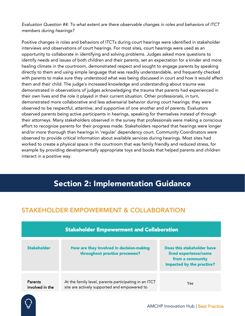*Evaluation Question #4: To what extent are there observable changes in roles and behaviors of ITCT members during hearings?*

Positive changes in roles and behaviors of ITCTs during court hearings were identified in stakeholder interviews and observations of court hearings. For most sites, court hearings were used as an opportunity to collaborate in identifying and solving problems. Judges asked more questions to identify needs and issues of both children and their parents, set an expectation for a kinder and more healing climate in the courtroom, demonstrated respect and sought to engage parents by speaking directly to them and using simple language that was readily understandable, and frequently checked with parents to make sure they understood what was being discussed in court and how it would affect them and their child. The judge's increased knowledge and understanding about trauma was demonstrated in observations of judges acknowledging the trauma that parents had experienced in their own lives and the role it played in their current situation. Other professionals, in turn, demonstrated more collaborative and less adversarial behavior during court hearings; they were observed to be respectful, attentive, and supportive of one another and of parents. Evaluators observed parents being active participants in hearings, speaking for themselves instead of through their attorneys. Many stakeholders observed in the survey that professionals were making a conscious effort to recognize parents for their progress made. Stakeholders reported that hearings were longer and/or more thorough than hearings in 'regular' dependency court. Community Coordinators were observed to provide critical information about available services during hearings. Most sites had worked to create a physical space in the courtroom that was family friendly and reduced stress, for example by providing developmentally appropriate toys and books that helped parents and children interact in a positive way.

# Section 2: Implementation Guidance

### STAKEHOLDER EMPOWERMENT & COLLABORATION

| <b>Stakeholder Empowerment and Collaboration</b> |                                                                                                       |                                                                                                      |  |  |
|--------------------------------------------------|-------------------------------------------------------------------------------------------------------|------------------------------------------------------------------------------------------------------|--|--|
| <b>Stakeholder</b>                               | How are they involved in decision-making<br>throughout practice processes?                            | Does this stakeholder have<br>lived experience/come<br>from a community<br>impacted by the practice? |  |  |
| Parents<br>involved in the                       | At the family level, parents participating in an ITCT<br>site are actively supported and empowered to | Yes                                                                                                  |  |  |

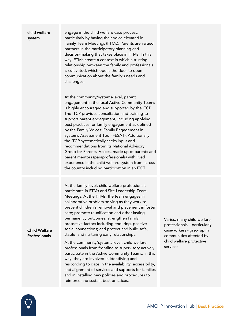#### child welfare system

engage in the child welfare case process, particularly by having their voice elevated in Family Team Meetings (FTMs). Parents are valued partners in the participatory planning and decision-making that takes place in FTMs. In this way, FTMs create a context in which a trusting relationship between the family and professionals is cultivated, which opens the door to open communication about the family's needs and challenges.

At the community/systems-level, parent engagement in the local Active Community Teams is highly encouraged and supported by the ITCP. The ITCP provides consultation and training to support parent engagement, including applying best practices for family engagement as defined by the Family Voices' Family Engagement in Systems Assessment Tool (FESAT). Additionally, the ITCP systematically seeks input and recommendations from its National Advisory Group for Parents' Voices, made up of parents and parent mentors (paraprofessionals) with lived experience in the child welfare system from across the country including participation in an ITCT.

At the family level, child welfare professionals participate in FTMs and Site Leadership Team Meetings. At the FTMs, the team engages in collaborative problem-solving as they work to prevent children's removal and placement in foster care; promote reunification and other lasting permanency outcomes; strengthen family protective factors including enduring, positive social connections; and protect and build safe, stable, and nurturing early relationships.

#### Child Welfare Professionals

At the community/systems level, child welfare professionals from frontline to supervisory actively participate in the Active Community Teams. In this way, they are involved in identifying and responding to gaps in the availability, accessibility, and alignment of services and supports for families and in installing new policies and procedures to reinforce and sustain best practices.

Varies; many child welfare professionals – particularly caseworkers - grew up in communities affected by child welfare protective services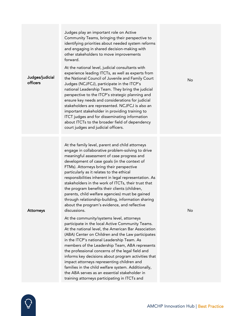| Judges/judicial<br>officers | At the national level, judicial consultants with<br>experience leading ITCTs, as well as experts from<br>the National Council of Juvenile and Family Court<br>Judges (NCJFCJ), participate in the ITCP's<br>national Leadership Team. They bring the judicial<br>perspective to the ITCP's strategic planning and<br>ensure key needs and considerations for judicial<br>stakeholders are represented. NCJFCJ is also an<br>important stakeholder in providing training to<br>ITCT judges and for disseminating information<br>about ITCTs to the broader field of dependency<br>court judges and judicial officers.                                                                                                                                                                                                                                                                                                                                                                                                                                         | No |
|-----------------------------|--------------------------------------------------------------------------------------------------------------------------------------------------------------------------------------------------------------------------------------------------------------------------------------------------------------------------------------------------------------------------------------------------------------------------------------------------------------------------------------------------------------------------------------------------------------------------------------------------------------------------------------------------------------------------------------------------------------------------------------------------------------------------------------------------------------------------------------------------------------------------------------------------------------------------------------------------------------------------------------------------------------------------------------------------------------|----|
| Attorneys                   | At the family level, parent and child attorneys<br>engage in collaborative problem-solving to drive<br>meaningful assessment of case progress and<br>development of case goals (in the context of<br>FTMs). Attorneys bring their perspective<br>particularly as it relates to the ethical<br>responsibilities inherent in legal representation. As<br>stakeholders in the work of ITCTs, their trust that<br>the program benefits their clients (children,<br>parents, child welfare agencies) must be gained<br>through relationship-building, information sharing<br>about the program's evidence, and reflective<br>discussions.<br>At the community/systems level, attorneys<br>participate in the local Active Community Teams.<br>At the national level, the American Bar Association<br>(ABA) Center on Children and the Law participates<br>in the ITCP's national Leadership Team. As<br>members of the Leadership Team, ABA represents<br>the professional concerns of the legal field and<br>informs key decisions about program activities that | No |

 $\overline{Q}$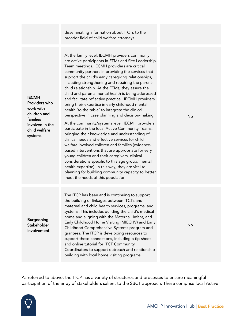disseminating information about ITCTs to the broader field of child welfare attorneys.

At the family level, IECMH providers commonly are active participants in FTMs and Site Leadership Team meetings. IECMH providers are critical community partners in providing the services that support the child's early caregiving relationships, including strengthening and repairing the parentchild relationship. At the FTMs, they assure the child and parents mental health is being addressed and facilitate reflective practice. IECMH providers bring their expertise in early childhood mental health 'to the table' to integrate the clinical perspective in case planning and decision-making. At the community/systems level, IECMH providers participate in the local Active Community Teams, bringing their knowledge and understanding of clinical needs and effective services for child welfare involved children and families (evidencebased interventions that are appropriate for very young children and their caregivers, clinical considerations specific to this age group, mental health expertise). In this way, they are vital to planning for building community capacity to better meet the needs of this population.

Burgeoning **Stakeholder** Involvement

IECMH

Providers who work with children and families

involved in the child welfare systems

> The ITCP has been and is continuing to support the building of linkages between ITCTs and maternal and child health services, programs, and systems. This includes building the child's medical home and aligning with the Maternal, Infant, and Early Childhood Home Visiting (MIECHV) and Early Childhood Comprehensive Systems program and grantees. The ITCP is developing resources to support these connections, including a tip-sheet and online tutorial for ITCT Community Coordinators to support outreach and relationship building with local home visiting programs.

No

No

As referred to above, the ITCP has a variety of structures and processes to ensure meaningful participation of the array of stakeholders salient to the SBCT approach. These comprise local Active

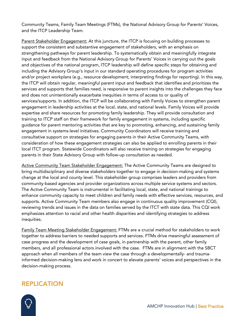Community Teams, Family Team Meetings (FTMs), the National Advisory Group for Parents' Voices, and the ITCP Leadership Team.

Parent Stakeholder Engagement: At this juncture, the ITCP is focusing on building processes to support the consistent and substantive engagement of stakeholders, with an emphasis on strengthening pathways for parent leadership. To systematically obtain and meaningfully integrate input and feedback from the National Advisory Group for Parents' Voices in carrying out the goals and objectives of the national program, ITCP leadership will define specific steps for obtaining and including the Advisory Group's input in our standard operating procedures for program activities and/or project workplans (e.g., resource development; interpreting findings for reporting). In this way, the ITCP will obtain regular, meaningful parent input and feedback that identifies and prioritizes the services and supports that families need, is responsive to parent insights into the challenges they face and does not unintentionally exacerbate inequities in terms of access to or quality of services/supports. In addition, the ITCP will be collaborating with Family Voices to strengthen parent engagement in leadership activities at the local, state, and national levels. Family Voices will provide expertise and share resources for promoting family leadership. They will provide consultation and training to ITCP staff on their framework for family engagement in systems, including specific guidance for parent mentoring activities that are key to promoting, enhancing, and sustaining family engagement in systems-level initiatives. Community Coordinators will receive training and consultative support on strategies for engaging parents in their Active Community Teams, with consideration of how these engagement strategies can also be applied to enrolling parents in their local ITCT program. Statewide Coordinators will also receive training on strategies for engaging parents in their State Advisory Group with follow-up consultation as needed.

Active Community Team Stakeholder Engagement: The Active Community Teams are designed to bring multidisciplinary and diverse stakeholders together to engage in decision-making and systems change at the local and county level. This stakeholder group comprises leaders and providers from community-based agencies and provider organizations across multiple service systems and sectors. The Active Community Team is instrumental in facilitating local, state, and national trainings to enhance community capacity to meet children and family needs with effective services, resources, and supports. Active Community Team members also engage in continuous quality improvement (CQI), reviewing trends and issues in the data on families served by the ITCT with state data. This CQI work emphasizes attention to racial and other health disparities and identifying strategies to address inequities.

Family Team Meeting Stakeholder Engagement: FTMs are a crucial method for stakeholders to work together to address barriers to needed supports and services. FTMs drive meaningful assessment of case progress and the development of case goals, in partnership with the parent, other family members, and all professional actors involved with the case. FTMs are in alignment with the SBCT approach when all members of the team view the case through a developmentally- and traumainformed decision-making lens and work in concert to elevate parents' voices and perspectives in the decision-making process.

### REPLICATION

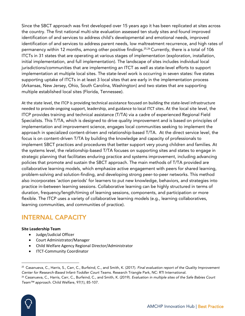Since the SBCT approach was first developed over 15 years ago it has been replicated at sites across the country. The first national multi-site evaluation assessed ten study sites and found improved identification of and services to address child's developmental and emotional needs, improved identification of and services to address parent needs, low maltreatment recurrence, and high rates of permanency within 12 months, among other positive findings.<sup>25,26</sup> Currently, there is a total of 106 ITCTs in 31 states that are operating at various stages of implementation (exploration, installation, initial implementation, and full implementation). The landscape of sites includes individual local jurisdictions/communities that are implementing an ITCT as well as state-level efforts to support implementation at multiple local sites. The state-level work is occurring in seven states: five states supporting uptake of ITCTs in at least 3 local sites that are early in the implementation process (Arkansas, New Jersey, Ohio, South Carolina, Washington) and two states that are supporting multiple established local sites (Florida, Tennessee).

At the state level, the ITCP is providing technical assistance focused on building the state-level infrastructure needed to provide ongoing support, leadership, and guidance to local ITCT sites. At the local site level, the ITCP provides training and technical assistance (T/TA) via a cadre of experienced Regional Field Specialists. This T/TA, which is designed to drive quality improvement and is based on principles of implementation and improvement science, engages local communities seeking to implement the approach in specialized content-driven and relationship-based T/TA. At the direct service level, the focus is on content-driven T/TA by building the knowledge and capacity of professionals to implement SBCT practices and procedures that better support very young children and families. At the systems level, the relationship-based T/TA focuses on supporting sites and states to engage in strategic planning that facilitates enduring practice and systems improvement, including advancing policies that promote and sustain the SBCT approach. The main methods of T/TA provided are collaborative learning models, which emphasize active engagement with peers for shared learning, problem-solving and solution-finding, and developing strong peer-to-peer networks. This method also incorporates 'action periods' for learners to put new knowledge, behaviors, and strategies into practice in-between learning sessions. Collaborative learning can be highly structured in terms of duration, frequency/length/timing of learning sessions, components, and participation or more flexible. The ITCP uses a variety of collaborative learning models (e.g., learning collaboratives, learning communities, and communities of practice).

### INTERNAL CAPACITY

#### **Site Leadership Team**

- Judge/Judicial Officer
- Court Administrator/Manager
- Child Welfare Agency Regional Director/Administrator
- ITCT-Community Coordinator

<sup>26</sup> Casanueva, C., Harris, Carr, C., Burfeind, C., and Smith, K. (2019). *Evaluation in multiple sites of the Safe Babies Court Team™ approach.* Child Welfare, 97(1), 85-107.



<sup>25</sup> Casanueva, C., Harris, S., Carr, C., Burfeind, C., and Smith, K. (2017). *Final evaluation report of the Quality Improvement Center for Research-Based Infant-Toddler Court Teams.* Research Triangle Park, NC: RTI International.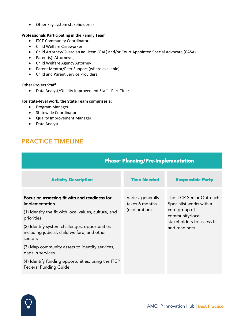• Other key system stakeholder(s)

### **Professionals Participating in the Family Team**

- ITCT-Community Coordinator
- Child Welfare Caseworker
- Child Attorney/Guardian ad Litem (GAL) and/or Court Appointed Special Advocate (CASA)
- Parent(s)' Attorney(s)
- Child Welfare Agency Attorney
- Parent Mentor/Peer Support (where available)
- Child and Parent Service Providers

#### **Other Project Staff**

• Data Analyst/Quality Improvement Staff - Part-Time

### **For state-level work, the State Team comprises a:**

- Program Manager
- Statewide Coordinator
- Quality Improvement Manager
- Data Analyst

# PRACTICE TIMELINE

| <b>Phase: Planning/Pre-Implementation</b>                                                                |                                     |                                                                                 |  |
|----------------------------------------------------------------------------------------------------------|-------------------------------------|---------------------------------------------------------------------------------|--|
| <b>Activity Description</b>                                                                              | <b>Time Needed</b>                  | <b>Responsible Party</b>                                                        |  |
| Focus on assessing fit with and readiness for<br>implementation                                          | Varies, generally<br>takes 6 months | The ITCP Senior Outreach<br>Specialist works with a                             |  |
| (1) Identify the fit with local values, culture, and<br>priorities                                       | (exploration)                       | core group of<br>community/local<br>stakeholders to assess fit<br>and readiness |  |
| (2) Identify system challenges, opportunities<br>including judicial, child welfare, and other<br>sectors |                                     |                                                                                 |  |
| (3) Map community assets to identify services,<br>gaps in services                                       |                                     |                                                                                 |  |
| (4) Identify funding opportunities, using the ITCP<br><b>Federal Funding Guide</b>                       |                                     |                                                                                 |  |

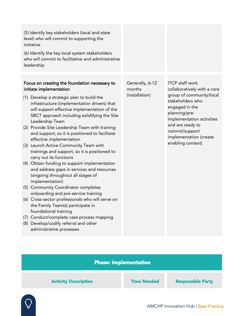| (5) Identify key stakeholders (local and state<br>level) who will commit to supporting the<br>initiative<br>(6) Identify the key local system stakeholders<br>who will commit to facilitative and administrative<br>leadership                                                                                                                                                                                                                                                                                                                                                                                                                                                                                                                                                                                                                                                                                                                                                                                        |                                             |                                                                                                                                                                                                                                                            |
|-----------------------------------------------------------------------------------------------------------------------------------------------------------------------------------------------------------------------------------------------------------------------------------------------------------------------------------------------------------------------------------------------------------------------------------------------------------------------------------------------------------------------------------------------------------------------------------------------------------------------------------------------------------------------------------------------------------------------------------------------------------------------------------------------------------------------------------------------------------------------------------------------------------------------------------------------------------------------------------------------------------------------|---------------------------------------------|------------------------------------------------------------------------------------------------------------------------------------------------------------------------------------------------------------------------------------------------------------|
| Focus on creating the foundation necessary to<br>initiate implementation<br>(1) Develop a strategic plan to build the<br>infrastructure (implementation drivers) that<br>will support effective implementation of the<br>SBCT approach including solidifying the Site<br>Leadership Team<br>(2) Provide Site Leadership Team with training<br>and support, so it is positioned to facilitate<br>effective implementation<br>(3) Launch Active Community Team with<br>trainings and support, so it is positioned to<br>carry out its functions<br>(4) Obtain funding to support implementation<br>and address gaps in services and resources<br>(ongoing throughout all stages of<br>implementation)<br>(5) Community Coordinator completes<br>onboarding and pre-service training<br>(6) Cross-sector professionals who will serve on<br>the Family Team(s) participate in<br>foundational training<br>(7) Conduct/complete case process mapping<br>(8) Develop/codify referral and other<br>administrative processes | Generally, 6-12<br>months<br>(installation) | <b>ITCP staff work</b><br>collaboratively with a core<br>group of community/local<br>stakeholders who<br>engaged in the<br>planning/pre-<br>implementation activities<br>and are ready to<br>commit/support<br>implementation (create<br>enabling context) |
|                                                                                                                                                                                                                                                                                                                                                                                                                                                                                                                                                                                                                                                                                                                                                                                                                                                                                                                                                                                                                       |                                             |                                                                                                                                                                                                                                                            |

### Phase: Implementation

Activity Description Time Needed Responsible Party

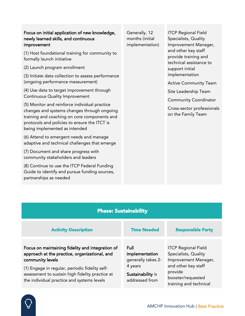### Focus on initial application of new knowledge, newly learned skills, and continuous improvement

(1) Host foundational training for community to formally launch initiative

(2) Launch program enrollment

(3) Initiate data collection to assess performance (ongoing performance measurement)

(4) Use data to target improvement through Continuous Quality Improvement

(5) Monitor and reinforce individual practice changes and systems changes through ongoing training and coaching on core components and protocols and policies to ensure the ITCT is being implemented as intended

(6) Attend to emergent needs and manage adaptive and technical challenges that emerge

(7) Document and share progress with community stakeholders and leaders

(8) Continue to use the ITCP Federal Funding Guide to identify and pursue funding sources, partnerships as needed

Generally, 12 months (initial implementation)

ITCP Regional Field Specialists, Quality Improvement Manager, and other key staff provide training and technical assistance to support initial implementation

Active Community Team

Site Leadership Team

Community Coordinator

Cross-sector professionals on the Family Team

| <b>Phase: Sustainability</b>                                                                                                                    |                                                |                                                                               |  |  |  |
|-------------------------------------------------------------------------------------------------------------------------------------------------|------------------------------------------------|-------------------------------------------------------------------------------|--|--|--|
| <b>Activity Description</b>                                                                                                                     | <b>Time Needed</b>                             | <b>Responsible Party</b>                                                      |  |  |  |
| Focus on maintaining fidelity and integration of<br>approach at the practice, organizational, and<br>community levels                           | Full<br>implementation<br>generally takes 2-   | <b>ITCP Regional Field</b><br>Specialists, Quality<br>Improvement Manager,    |  |  |  |
| (1) Engage in regular, periodic fidelity self-<br>assessment to sustain high fidelity practice at<br>the individual practice and systems levels | 4 years<br>Sustainability is<br>addressed from | and other key staff<br>provide<br>booster/requested<br>training and technical |  |  |  |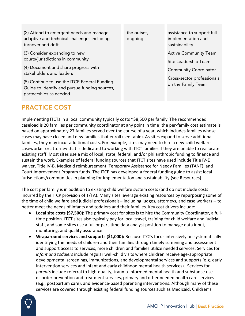(2) Attend to emergent needs and manage adaptive and technical challenges including turnover and drift

(3) Consider expanding to new courts/jurisdictions in community

(4) Document and share progress with stakeholders and leaders

(5) Continue to use the ITCP Federal Funding Guide to identify and pursue funding sources, partnerships as needed

PRACTICE COST

the outset, ongoing

assistance to support full implementation and sustainability

Active Community Team

Site Leadership Team

Community Coordinator

Cross-sector professionals on the Family Team

Implementing ITCTs in a local community typically costs ~\$8,500 per family. The recommended caseload is 20 families per community coordinator at any point in time; the per-family cost estimate is based on approximately 27 families served over the course of a year, which includes families whose cases may have closed and new families that enroll (see table). As sites expand to serve additional families, they may incur additional costs. For example, sites may need to hire a new child welfare caseworker or attorney that is dedicated to working with ITCT families if they are unable to reallocate existing staff. Most sites use a mix of local, state, federal, and/or philanthropic funding to finance and sustain the work. Examples of federal funding sources that ITCT sites have used include Title IV-E waiver, Title IV-B, Medicaid reimbursement, Temporary Assistance for Needy Families (TANF), and Court Improvement Program funds. The ITCP has developed a federal funding guide to assist local jurisdictions/communities in planning for implementation and sustainability (see Resources).

The cost per family is in addition to existing child welfare system costs (and do not include costs incurred by the ITCP provision of T/TA). Many sites leverage existing resources by repurposing some of the time of child welfare and judicial professionals-- including judges, attorneys, and case workers -- to better meet the needs of infants and toddlers and their families. Key cost drivers include:

- **Local site costs (\$7,500):** The primary cost for sites is to hire the Community Coordinator, a fulltime position. ITCT sites also typically pay for local travel, training for child welfare and judicial staff, and some sites use a full or part-time data analyst position to manage data input, monitoring, and quality assurance.
- **Wraparound services and supports (\$1,000):** Because ITCTs focus intensively on systematically identifying the needs of children and their families through timely screening and assessment and support access to services, more children and families utilize needed services. Services for *infant and toddlers* include regular well-child visits where children receive age-appropriate developmental screenings, immunizations, and developmental services and supports (e.g. early Intervention services and infant and early childhood mental health services). Services for *parents* include referral to high-quality, trauma-informed mental health and substance use disorder prevention and treatment services, primary and other needed health care services (e.g., postpartum care), and evidence-based parenting interventions. Although many of these services are covered through existing federal funding sources such as Medicaid, Children's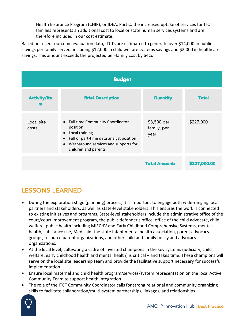Health Insurance Program (CHIP), or IDEA, Part C, the increased uptake of services for ITCT families represents an additional cost to local or state human services systems and are therefore included in our cost estimate.

Based on recent outcome evaluation data, ITCTs are estimated to generate over \$14,000 in public savings per family served, including \$12,000 in child welfare systems savings and \$2,000 in healthcare savings. This amount exceeds the projected per-family cost by 64%.

| <b>Budget</b>            |                                                                                                                                                                                                                   |                                    |              |  |
|--------------------------|-------------------------------------------------------------------------------------------------------------------------------------------------------------------------------------------------------------------|------------------------------------|--------------|--|
| <b>Activity/Ite</b><br>m | <b>Brief Description</b>                                                                                                                                                                                          | <b>Quantity</b>                    | <b>Total</b> |  |
| Local site<br>costs      | • Full time Community Coordinator<br>position<br>Local training<br>$\bullet$<br>Full or part-time data analyst position<br>$\bullet$<br>Wraparound services and supports for<br>$\bullet$<br>children and parents | \$8,500 per<br>family, per<br>year | \$227,000    |  |
|                          |                                                                                                                                                                                                                   | <b>Total Amount:</b>               | \$227,000.00 |  |

# LESSONS LEARNED

- During the exploration stage (planning) process, it is important to engage both wide-ranging local partners and stakeholders, as well as state-level stakeholders. This ensures the work is connected to existing initiatives and programs. State-level stakeholders include the administrative office of the court/court improvement program, the public defender's office, office of the child advocate, child welfare, public health including MIECHV and Early Childhood Comprehensive Systems, mental health, substance use, Medicaid, the state infant mental health association, parent advocacy groups, resource parent organizations, and other child and family policy and advocacy organizations.
- At the local level, cultivating a cadre of invested champions in the key systems (judiciary, child welfare, early childhood health and mental health) is critical – and takes time. These champions will serve on the local site leadership team and provide the facilitative support necessary for successful implementation.
- Ensure local maternal and child health program/services/system representation on the local Active Community Team to support health integration.
- The role of the ITCT Community Coordinator calls for strong relational and community organizing skills to facilitate collaboration/multi-system partnerships, linkages, and relationships.

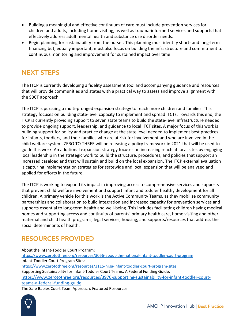- Building a meaningful and effective continuum of care must include prevention services for children and adults, including home visiting, as well as trauma-informed services and supports that effectively address adult mental health and substance use disorder needs.
- Begin planning for sustainability from the outset. This planning must identify short- and long-term financing but, equally important, must also focus on building the infrastructure and commitment to continuous monitoring and improvement for sustained impact over time.

### NEXT STEPS

The ITCP is currently developing a fidelity assessment tool and accompanying guidance and resources that will provide communities and states with a practical way to assess and improve alignment with the SBCT approach.

The ITCP is pursuing a multi-pronged expansion strategy to reach more children and families. This strategy focuses on building state-level capacity to implement and spread ITCTs. Towards this end, the ITCP is currently providing support to seven state teams to build the state-level infrastructure needed to provide ongoing support, leadership, and guidance to local ITCT sites. A major focus of this work is building support for policy and practice change at the state level needed to implement best practices for infants, toddlers, and their families who are at risk for involvement and who are involved in the child welfare system. ZERO TO THREE will be releasing a policy framework in 2021 that will be used to guide this work. An additional expansion strategy focuses on increasing reach at local sites by engaging local leadership in the strategic work to build the structure, procedures, and policies that support an increased caseload and that will sustain and build on the local expansion. The ITCP external evaluation is capturing implementation strategies for statewide and local expansion that will be analyzed and applied for efforts in the future.

The ITCP is working to expand its impact in improving access to comprehensive services and supports that prevent child welfare involvement and support infant and toddler healthy development for all children. A primary vehicle for this work is the Active Community Teams, as they mobilize community partnerships and collaboration to build integration and increased capacity for prevention services and supports essential to long-term health and well-being. This includes facilitating children having medical homes and supporting access and continuity of parents' primary health care, home visiting and other maternal and child health programs, legal services, housing, and supports/resources that address the social determinants of health.

# RESOURCES PROVIDED

About the Infant-Toddler Court Program: <https://www.zerotothree.org/resources/3066-about-the-national-infant-toddler-court-program> Infant-Toddler Court Program Sites: <https://www.zerotothree.org/resources/3115-hrsa-infant-toddler-court-program-sites> Supporting Sustainability for Infant-Toddler Court Teams: A Federal Funding Guide: [https://www.zerotothree.org/resources/3976-supporting-sustainability-for-infant-toddler-court](https://www.zerotothree.org/resources/3976-supporting-sustainability-for-infant-toddler-court-teams-a-federal-funding-guide)[teams-a-federal-funding-guide](https://www.zerotothree.org/resources/3976-supporting-sustainability-for-infant-toddler-court-teams-a-federal-funding-guide) The Safe Babies Court Team Approach: Featured Resources